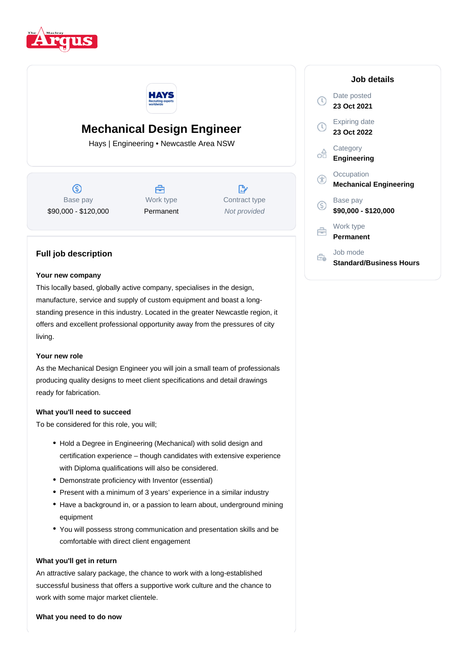



## **Mechanical Design Engineer**

Hays | Engineering • Newcastle Area NSW

 $\circ$ Base pay \$90,000 - \$120,000



 $\mathbb{R}$ Contract type Not provided

### **Full job description**

#### **Your new company**

This locally based, globally active company, specialises in the design, manufacture, service and supply of custom equipment and boast a longstanding presence in this industry. Located in the greater Newcastle region, it offers and excellent professional opportunity away from the pressures of city living.

#### **Your new role**

As the Mechanical Design Engineer you will join a small team of professionals producing quality designs to meet client specifications and detail drawings ready for fabrication.

#### **What you'll need to succeed**

To be considered for this role, you will;

- Hold a Degree in Engineering (Mechanical) with solid design and certification experience – though candidates with extensive experience with Diploma qualifications will also be considered.
- Demonstrate proficiency with Inventor (essential)
- Present with a minimum of 3 years' experience in a similar industry
- Have a background in, or a passion to learn about, underground mining equipment
- You will possess strong communication and presentation skills and be comfortable with direct client engagement

#### **What you'll get in return**

An attractive salary package, the chance to work with a long-established successful business that offers a supportive work culture and the chance to work with some major market clientele.

**What you need to do now**

# **Job details**

| Date posted<br>23 Oct 2021                  |
|---------------------------------------------|
| Expiring date<br>23 Oct 2022                |
| Category<br><b>Engineering</b>              |
| Occupation<br><b>Mechanical Engineering</b> |
| Base pay<br>\$90,000 - \$120,000            |
| Work type<br>Permanent                      |
| Job mode<br>Standard/Business Hours         |